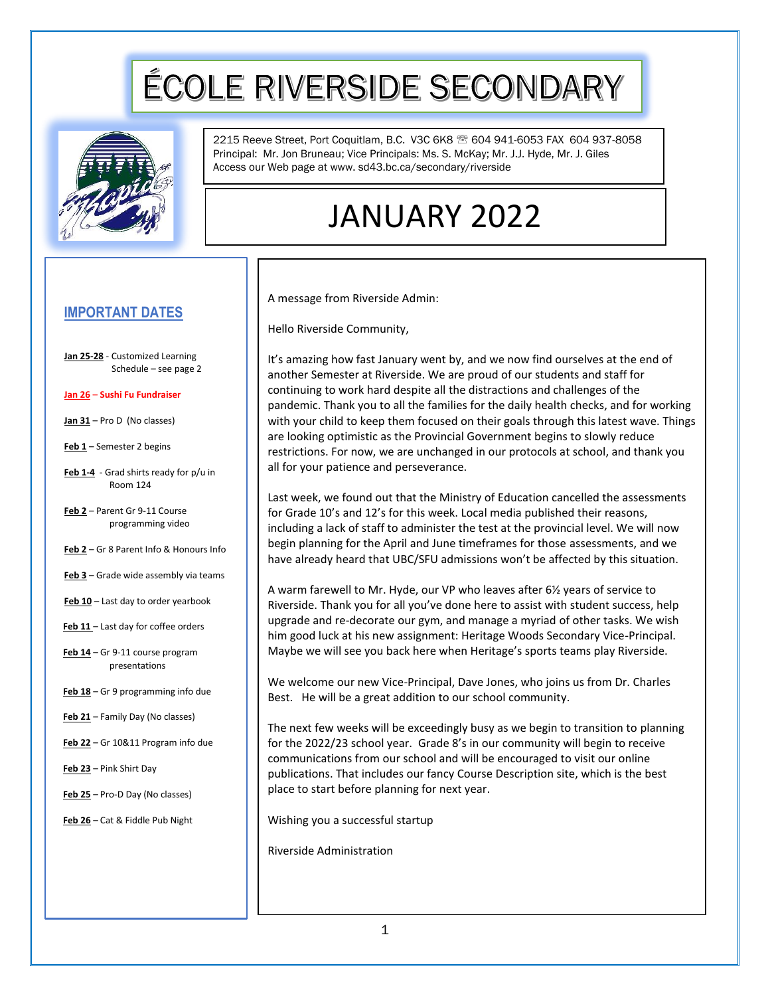# ÉCOLE RIVERSIDE SECONDARY



2215 Reeve Street, Port Coquitlam, B.C. V3C 6K8 <sup>®</sup> 604 941-6053 FAX 604 937-8058 Principal: Mr. Jon Bruneau; Vice Principals: Ms. S. McKay; Mr. J.J. Hyde, Mr. J. Giles Access our Web page at www. sd43.bc.ca/secondary/riverside

## JANUARY 2022

#### **IMPORTANT DATES**

- **Jan 25-28** Customized Learning Schedule – see page 2
- **Jan 26 Sushi Fu Fundraiser**
- **Jan 31** Pro D (No classes)
- **Feb 1** Semester 2 begins
- **Feb 1-4** Grad shirts ready for p/u in Room 124
- **Feb 2** Parent Gr 9-11 Course programming video
- **Feb 2** Gr 8 Parent Info & Honours Info
- **Feb 3** Grade wide assembly via teams
- **Feb 10** Last day to order yearbook
- **Feb 11**  Last day for coffee orders
- Feb  $14$  Gr 9-11 course program presentations
- **Feb 18** Gr 9 programming info due
- **Feb 21** Family Day (No classes)
- **Feb 22** Gr 10&11 Program info due
- **Feb 23** Pink Shirt Day
- **Feb 25** Pro-D Day (No classes)
- **Feb 26** Cat & Fiddle Pub Night

A message from Riverside Admin:

Hello Riverside Community,

It's amazing how fast January went by, and we now find ourselves at the end of another Semester at Riverside. We are proud of our students and staff for continuing to work hard despite all the distractions and challenges of the pandemic. Thank you to all the families for the daily health checks, and for working with your child to keep them focused on their goals through this latest wave. Things are looking optimistic as the Provincial Government begins to slowly reduce restrictions. For now, we are unchanged in our protocols at school, and thank you all for your patience and perseverance.

Last week, we found out that the Ministry of Education cancelled the assessments for Grade 10's and 12's for this week. Local media published their reasons, including a lack of staff to administer the test at the provincial level. We will now begin planning for the April and June timeframes for those assessments, and we have already heard that UBC/SFU admissions won't be affected by this situation.

A warm farewell to Mr. Hyde, our VP who leaves after 6½ years of service to Riverside. Thank you for all you've done here to assist with student success, help upgrade and re-decorate our gym, and manage a myriad of other tasks. We wish him good luck at his new assignment: Heritage Woods Secondary Vice-Principal. Maybe we will see you back here when Heritage's sports teams play Riverside.

We welcome our new Vice-Principal, Dave Jones, who joins us from Dr. Charles Best. He will be a great addition to our school community.

The next few weeks will be exceedingly busy as we begin to transition to planning for the 2022/23 school year. Grade 8's in our community will begin to receive communications from our school and will be encouraged to visit our online publications. That includes our fancy Course Description site, which is the best place to start before planning for next year.

Wishing you a successful startup

Riverside Administration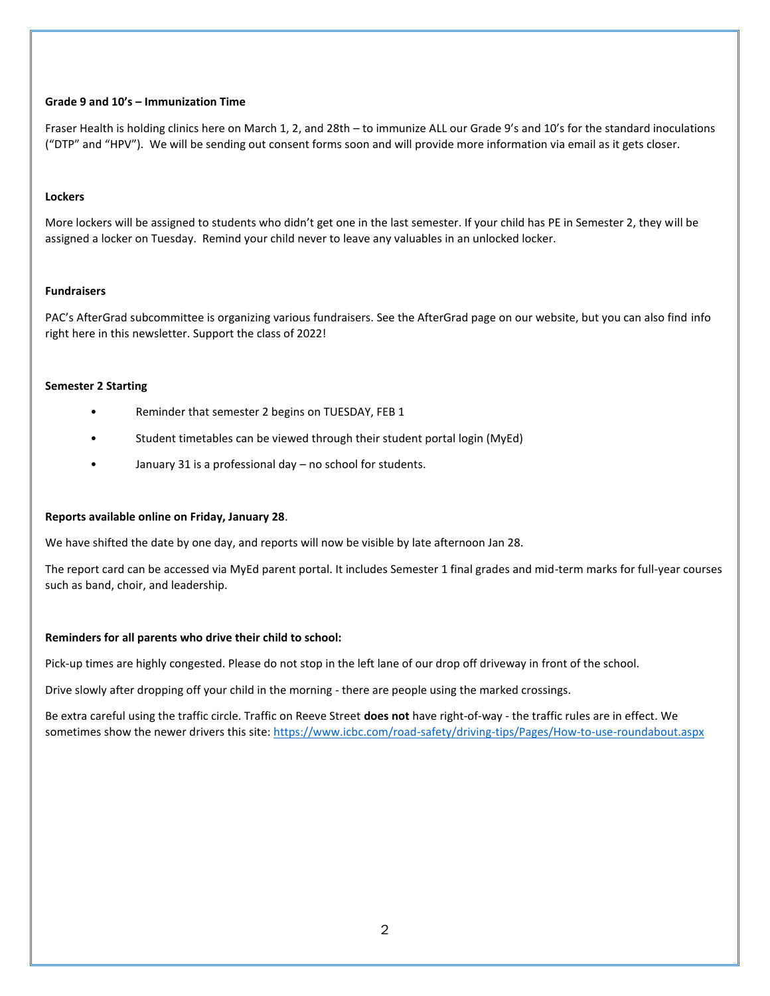#### **Grade 9 and 10's – Immunization Time**

Fraser Health is holding clinics here on March 1, 2, and 28th – to immunize ALL our Grade 9's and 10's for the standard inoculations ("DTP" and "HPV"). We will be sending out consent forms soon and will provide more information via email as it gets closer.

#### **Lockers**

More lockers will be assigned to students who didn't get one in the last semester. If your child has PE in Semester 2, they will be assigned a locker on Tuesday. Remind your child never to leave any valuables in an unlocked locker.

#### **Fundraisers**

PAC's AfterGrad subcommittee is organizing various fundraisers. See the AfterGrad page on our website, but you can also find info right here in this newsletter. Support the class of 2022!

#### **Semester 2 Starting**

- Reminder that semester 2 begins on TUESDAY, FEB 1
- Student timetables can be viewed through their student portal login (MyEd)
- January 31 is a professional day no school for students.

#### **Reports available online on Friday, January 28**.

We have shifted the date by one day, and reports will now be visible by late afternoon Jan 28.

The report card can be accessed via MyEd parent portal. It includes Semester 1 final grades and mid-term marks for full-year courses such as band, choir, and leadership.

#### **Reminders for all parents who drive their child to school:**

Pick-up times are highly congested. Please do not stop in the left lane of our drop off driveway in front of the school.

Drive slowly after dropping off your child in the morning - there are people using the marked crossings.

Be extra careful using the traffic circle. Traffic on Reeve Street **does not** have right-of-way - the traffic rules are in effect. We sometimes show the newer drivers this site[: https://www.icbc.com/road-safety/driving-tips/Pages/How-to-use-roundabout.aspx](https://www.icbc.com/road-safety/driving-tips/Pages/How-to-use-roundabout.aspx)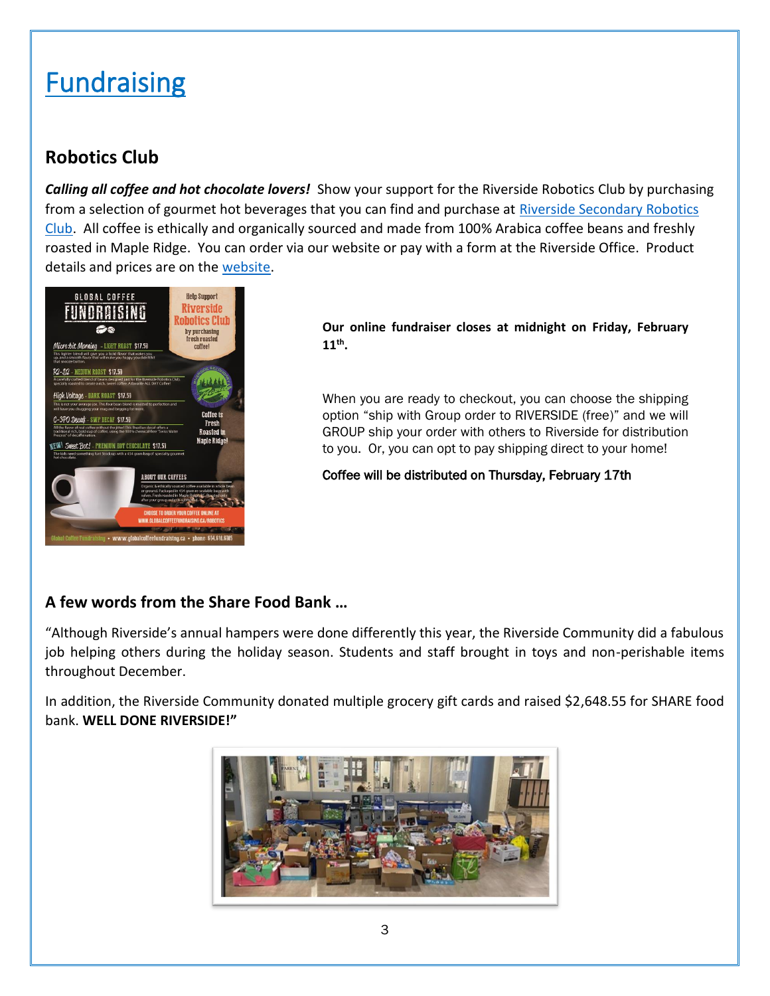## **Fundraising**

#### **Robotics Club**

*Calling all coffee and hot chocolate lovers!* Show your support for the Riverside Robotics Club by purchasing from a selection of gourmet hot beverages that you can find and purchase at [Riverside Secondary Robotics](https://globalcoffeefundraising.ca/robotics/)  [Club.](https://globalcoffeefundraising.ca/robotics/) All coffee is ethically and organically sourced and made from 100% Arabica coffee beans and freshly roasted in Maple Ridge. You can order via our website or pay with a form at the Riverside Office. Product details and prices are on the [website.](https://globalcoffeefundraising.ca/robotics/)



**Our online fundraiser closes at midnight on Friday, February 11th .** 

When you are ready to checkout, you can choose the shipping option "ship with Group order to RIVERSIDE (free)" and we will GROUP ship your order with others to Riverside for distribution to you. Or, you can opt to pay shipping direct to your home!

Coffee will be distributed on Thursday, February 17th

#### **A few words from the Share Food Bank …**

"Although Riverside's annual hampers were done differently this year, the Riverside Community did a fabulous job helping others during the holiday season. Students and staff brought in toys and non-perishable items throughout December.

In addition, the Riverside Community donated multiple grocery gift cards and raised \$2,648.55 for SHARE food bank. **WELL DONE RIVERSIDE!"**

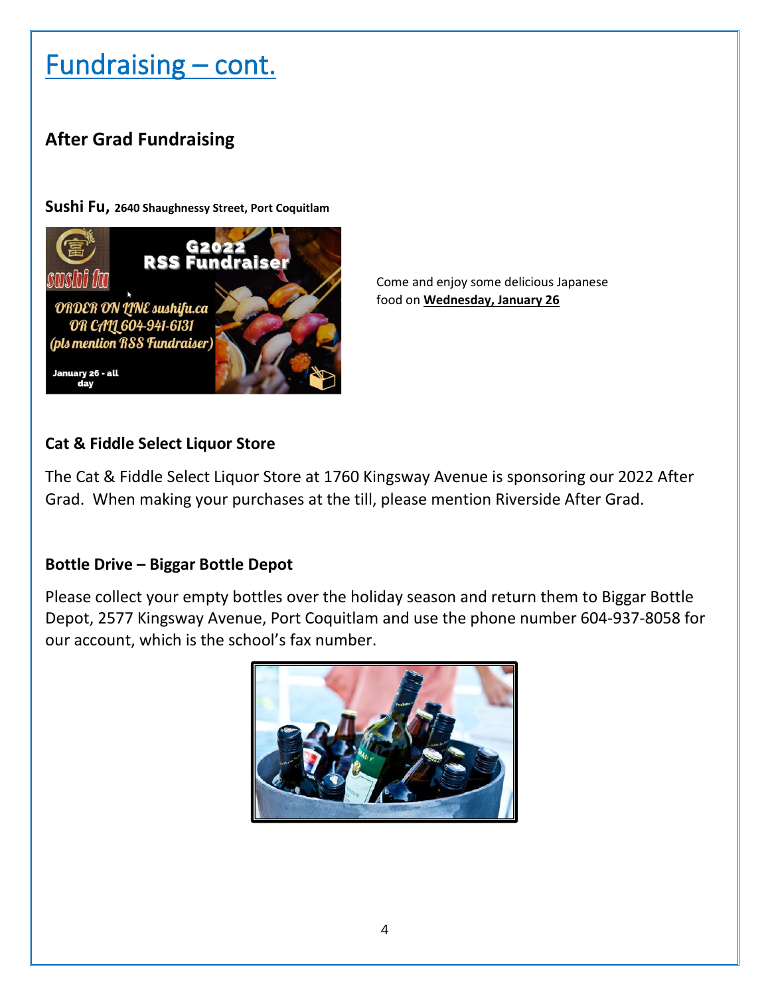## Fundraising – cont.

### **After Grad Fundraising**

**Sushi Fu, 2640 Shaughnessy Street, Port Coquitlam**



Come and enjoy some delicious Japanese food on **Wednesday, January 26**

#### **Cat & Fiddle Select Liquor Store**

The Cat & Fiddle Select Liquor Store at 1760 Kingsway Avenue is sponsoring our 2022 After Grad. When making your purchases at the till, please mention Riverside After Grad.

#### **Bottle Drive – Biggar Bottle Depot**

Please collect your empty bottles over the holiday season and return them to Biggar Bottle Depot, 2577 Kingsway Avenue, Port Coquitlam and use the phone number 604-937-8058 for our account, which is the school's fax number.

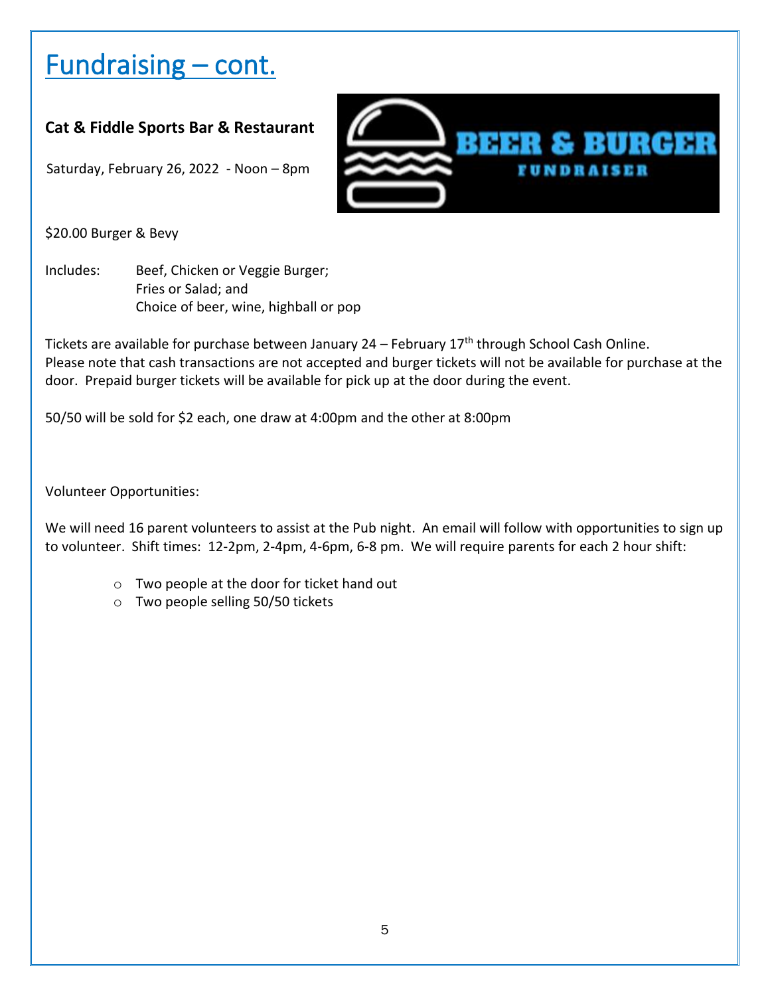## Fundraising – cont.

#### **Cat & Fiddle Sports Bar & Restaurant**

Saturday, February 26, 2022 - Noon – 8pm



\$20.00 Burger & Bevy

Includes: Beef, Chicken or Veggie Burger; Fries or Salad; and Choice of beer, wine, highball or pop

Tickets are available for purchase between January  $24$  – February  $17<sup>th</sup>$  through School Cash Online. Please note that cash transactions are not accepted and burger tickets will not be available for purchase at the door. Prepaid burger tickets will be available for pick up at the door during the event.

50/50 will be sold for \$2 each, one draw at 4:00pm and the other at 8:00pm

Volunteer Opportunities:

We will need 16 parent volunteers to assist at the Pub night. An email will follow with opportunities to sign up to volunteer. Shift times: 12-2pm, 2-4pm, 4-6pm, 6-8 pm. We will require parents for each 2 hour shift:

- o Two people at the door for ticket hand out
- o Two people selling 50/50 tickets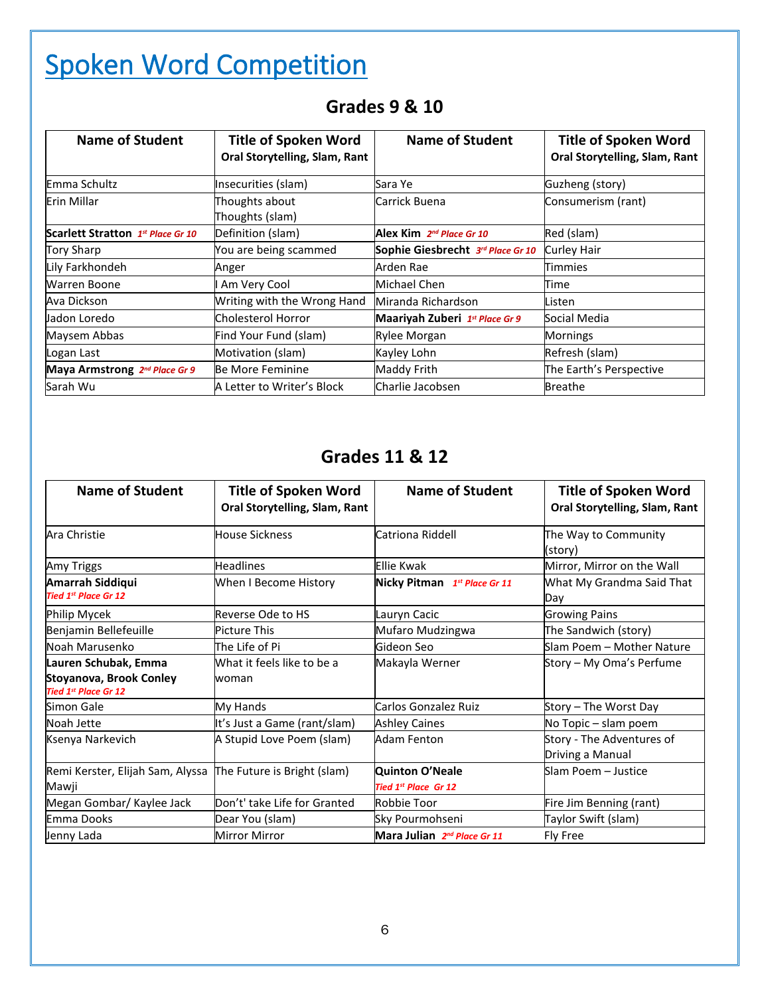## Spoken Word Competition

| Name of Student                   | <b>Title of Spoken Word</b><br>Oral Storytelling, Slam, Rant | <b>Name of Student</b>               | <b>Title of Spoken Word</b><br>Oral Storytelling, Slam, Rant |
|-----------------------------------|--------------------------------------------------------------|--------------------------------------|--------------------------------------------------------------|
| Emma Schultz                      | Insecurities (slam)                                          | Sara Ye                              | Guzheng (story)                                              |
| Erin Millar                       | Thoughts about<br>Thoughts (slam)                            | Carrick Buena                        | Consumerism (rant)                                           |
| Scarlett Stratton 1st Place Gr 10 | Definition (slam)                                            | Alex Kim 2 <sup>nd</sup> Place Gr 10 | Red (slam)                                                   |
| Tory Sharp                        | You are being scammed                                        | Sophie Giesbrecht 3rd Place Gr 10    | Curley Hair                                                  |
| Lily Farkhondeh                   | Anger                                                        | Arden Rae                            | Timmies                                                      |
| Warren Boone                      | I Am Very Cool                                               | Michael Chen                         | Time                                                         |
| Ava Dickson                       | Writing with the Wrong Hand                                  | Miranda Richardson                   | Listen                                                       |
| Jadon Loredo                      | <b>Cholesterol Horror</b>                                    | Maariyah Zuberi 1st Place Gr 9       | Social Media                                                 |
| Maysem Abbas                      | Find Your Fund (slam)                                        | Rylee Morgan                         | <b>Mornings</b>                                              |
| Logan Last                        | Motivation (slam)                                            | Kayley Lohn                          | Refresh (slam)                                               |
| Maya Armstrong 2nd Place Gr 9     | Be More Feminine                                             | Maddy Frith                          | The Earth's Perspective                                      |
| Sarah Wu                          | A Letter to Writer's Block                                   | Charlie Jacobsen                     | <b>Breathe</b>                                               |

### **Grades 9 & 10**

### **Grades 11 & 12**

| <b>Name of Student</b>                                                                | <b>Title of Spoken Word</b><br>Oral Storytelling, Slam, Rant | Name of Student                                | <b>Title of Spoken Word</b><br>Oral Storytelling, Slam, Rant |
|---------------------------------------------------------------------------------------|--------------------------------------------------------------|------------------------------------------------|--------------------------------------------------------------|
| Ara Christie                                                                          | <b>House Sickness</b>                                        | Catriona Riddell                               | The Way to Community<br>(story)                              |
| Amy Triggs                                                                            | <b>Headlines</b>                                             | <b>Ellie Kwak</b>                              | Mirror, Mirror on the Wall                                   |
| Amarrah Siddiqui<br><b>Tied 1st Place Gr 12</b>                                       | When I Become History                                        | Nicky Pitman 1st Place Gr 11                   | What My Grandma Said That<br>Day                             |
| Philip Mycek                                                                          | Reverse Ode to HS                                            | Lauryn Cacic                                   | <b>Growing Pains</b>                                         |
| Benjamin Bellefeuille                                                                 | Picture This                                                 | Mufaro Mudzingwa                               | The Sandwich (story)                                         |
| Noah Marusenko                                                                        | The Life of Pi                                               | Gideon Seo                                     | Slam Poem - Mother Nature                                    |
| Lauren Schubak, Emma<br><b>Stoyanova, Brook Conley</b><br><b>Tied 1st Place Gr 12</b> | What it feels like to be a<br>woman                          | Makayla Werner                                 | Story – My Oma's Perfume                                     |
| Simon Gale                                                                            | My Hands                                                     | Carlos Gonzalez Ruiz                           | Story – The Worst Day                                        |
| Noah Jette                                                                            | It's Just a Game (rant/slam)                                 | <b>Ashley Caines</b>                           | No Topic – slam poem                                         |
| Ksenya Narkevich                                                                      | A Stupid Love Poem (slam)                                    | Adam Fenton                                    | Story - The Adventures of<br>Driving a Manual                |
| Remi Kerster, Elijah Sam, Alyssa<br>Mawji                                             | The Future is Bright (slam)                                  | Quinton O'Neale<br><b>Tied 1st Place Gr 12</b> | Slam Poem - Justice                                          |
| Megan Gombar/ Kaylee Jack                                                             | Don't' take Life for Granted                                 | Robbie Toor                                    | Fire Jim Benning (rant)                                      |
| Emma Dooks                                                                            | Dear You (slam)                                              | Sky Pourmohseni                                | Taylor Swift (slam)                                          |
| Jenny Lada                                                                            | <b>Mirror Mirror</b>                                         | Mara Julian 2nd Place Gr 11                    | Fly Free                                                     |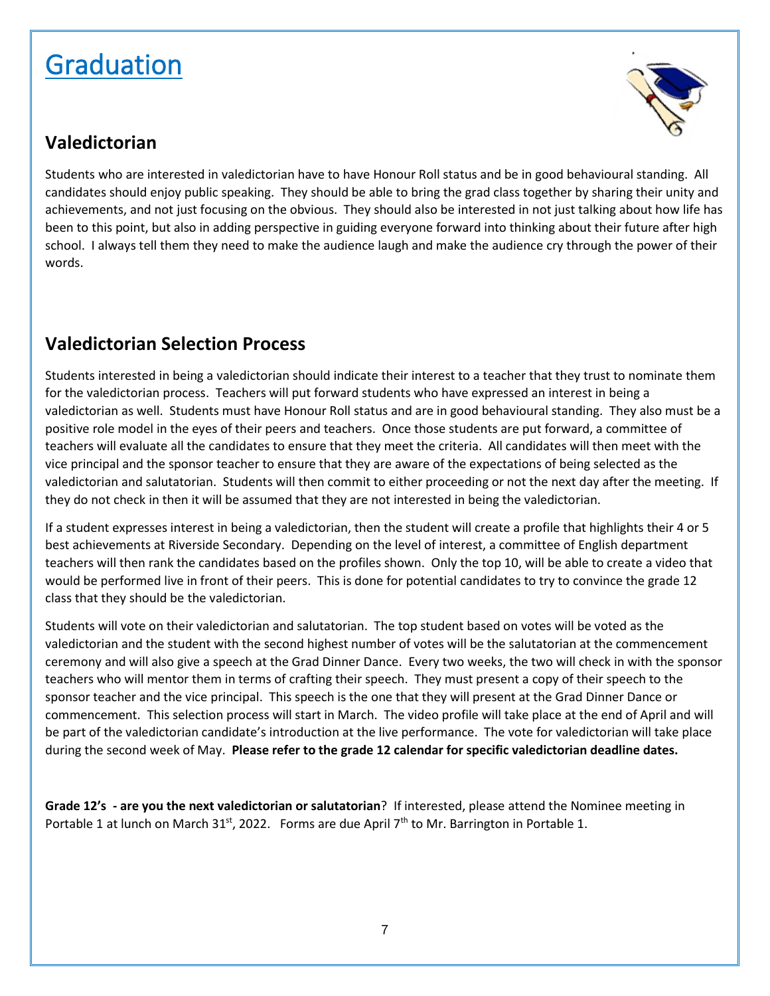## Graduation



#### **Valedictorian**

Students who are interested in valedictorian have to have Honour Roll status and be in good behavioural standing. All candidates should enjoy public speaking. They should be able to bring the grad class together by sharing their unity and achievements, and not just focusing on the obvious. They should also be interested in not just talking about how life has been to this point, but also in adding perspective in guiding everyone forward into thinking about their future after high school. I always tell them they need to make the audience laugh and make the audience cry through the power of their words.

### **Valedictorian Selection Process**

Students interested in being a valedictorian should indicate their interest to a teacher that they trust to nominate them for the valedictorian process. Teachers will put forward students who have expressed an interest in being a valedictorian as well. Students must have Honour Roll status and are in good behavioural standing. They also must be a positive role model in the eyes of their peers and teachers. Once those students are put forward, a committee of teachers will evaluate all the candidates to ensure that they meet the criteria. All candidates will then meet with the vice principal and the sponsor teacher to ensure that they are aware of the expectations of being selected as the valedictorian and salutatorian. Students will then commit to either proceeding or not the next day after the meeting. If they do not check in then it will be assumed that they are not interested in being the valedictorian.

If a student expresses interest in being a valedictorian, then the student will create a profile that highlights their 4 or 5 best achievements at Riverside Secondary. Depending on the level of interest, a committee of English department teachers will then rank the candidates based on the profiles shown. Only the top 10, will be able to create a video that would be performed live in front of their peers. This is done for potential candidates to try to convince the grade 12 class that they should be the valedictorian.

Students will vote on their valedictorian and salutatorian. The top student based on votes will be voted as the valedictorian and the student with the second highest number of votes will be the salutatorian at the commencement ceremony and will also give a speech at the Grad Dinner Dance. Every two weeks, the two will check in with the sponsor teachers who will mentor them in terms of crafting their speech. They must present a copy of their speech to the sponsor teacher and the vice principal. This speech is the one that they will present at the Grad Dinner Dance or commencement. This selection process will start in March. The video profile will take place at the end of April and will be part of the valedictorian candidate's introduction at the live performance. The vote for valedictorian will take place during the second week of May. **Please refer to the grade 12 calendar for specific valedictorian deadline dates.** 

**Grade 12's - are you the next valedictorian or salutatorian**? If interested, please attend the Nominee meeting in Portable 1 at lunch on March 31<sup>st</sup>, 2022. Forms are due April 7<sup>th</sup> to Mr. Barrington in Portable 1.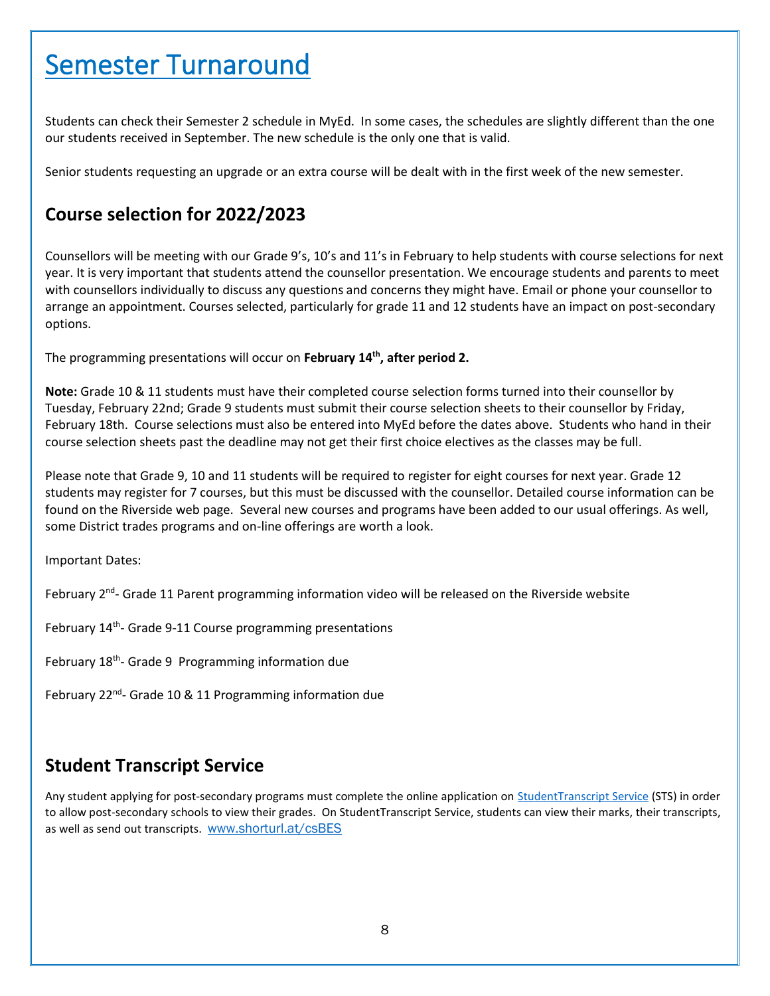### Semester Turnaround

Students can check their Semester 2 schedule in MyEd. In some cases, the schedules are slightly different than the one our students received in September. The new schedule is the only one that is valid.

Senior students requesting an upgrade or an extra course will be dealt with in the first week of the new semester.

#### **Course selection for 2022/2023**

Counsellors will be meeting with our Grade 9's, 10's and 11's in February to help students with course selections for next year. It is very important that students attend the counsellor presentation. We encourage students and parents to meet with counsellors individually to discuss any questions and concerns they might have. Email or phone your counsellor to arrange an appointment. Courses selected, particularly for grade 11 and 12 students have an impact on post-secondary options.

The programming presentations will occur on **February 14th , after period 2.**

**Note:** Grade 10 & 11 students must have their completed course selection forms turned into their counsellor by Tuesday, February 22nd; Grade 9 students must submit their course selection sheets to their counsellor by Friday, February 18th. Course selections must also be entered into MyEd before the dates above. Students who hand in their course selection sheets past the deadline may not get their first choice electives as the classes may be full.

Please note that Grade 9, 10 and 11 students will be required to register for eight courses for next year. Grade 12 students may register for 7 courses, but this must be discussed with the counsellor. Detailed course information can be found on the Riverside web page. Several new courses and programs have been added to our usual offerings. As well, some District trades programs and on-line offerings are worth a look.

Important Dates:

February 2<sup>nd</sup>- Grade 11 Parent programming information video will be released on the Riverside website

February 14<sup>th</sup>- Grade 9-11 Course programming presentations

February 18<sup>th</sup>- Grade 9 Programming information due

February 22<sup>nd</sup>- Grade 10 & 11 Programming information due

#### **Student Transcript Service**

Any student applying for post-secondary programs must complete the online application on [StudentTranscript](https://www2.gov.bc.ca/gov/content/education-training/k-12/support/transcripts-and-certificates/about-studenttranscripts) Service (STS) in order to allow post-secondary schools to view their grades. On StudentTranscript Service, students can view their marks, their transcripts, as well as send out transcripts. [www.shorturl.at/csBES](http://www.shorturl.at/csBES)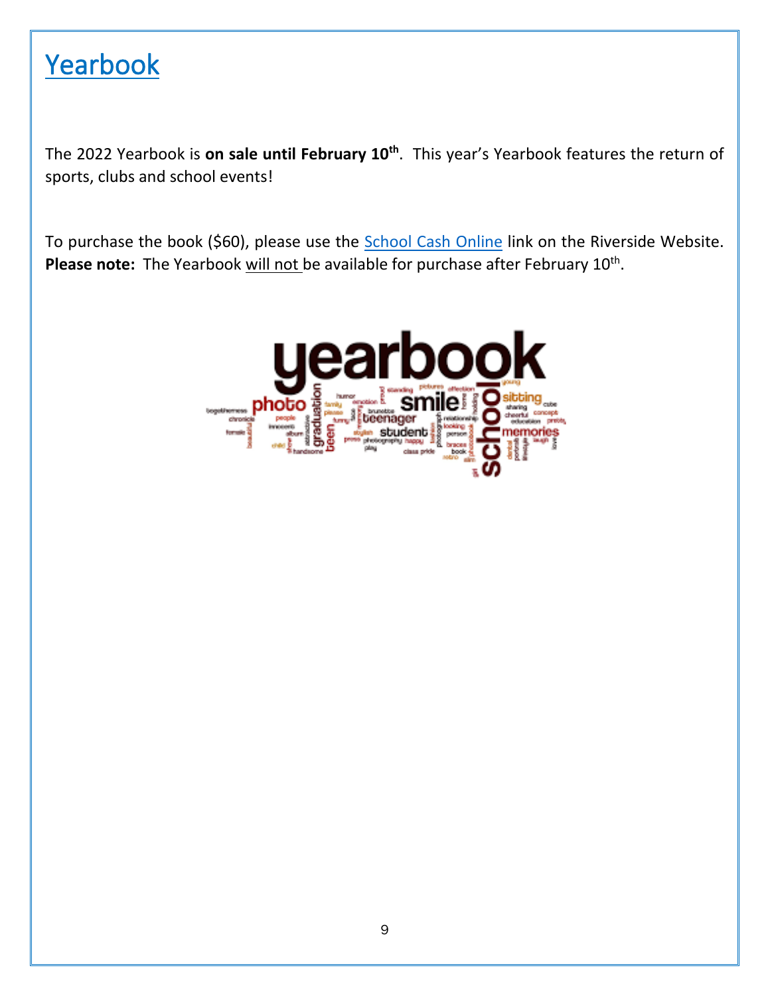### Yearbook

The 2022 Yearbook is **on sale until February 10th**. This year's Yearbook features the return of sports, clubs and school events!

To purchase the book (\$60), please use the [School Cash Online](https://sd43.schoolcashonline.com/) link on the Riverside Website. Please note: The Yearbook will not be available for purchase after February 10<sup>th</sup>.

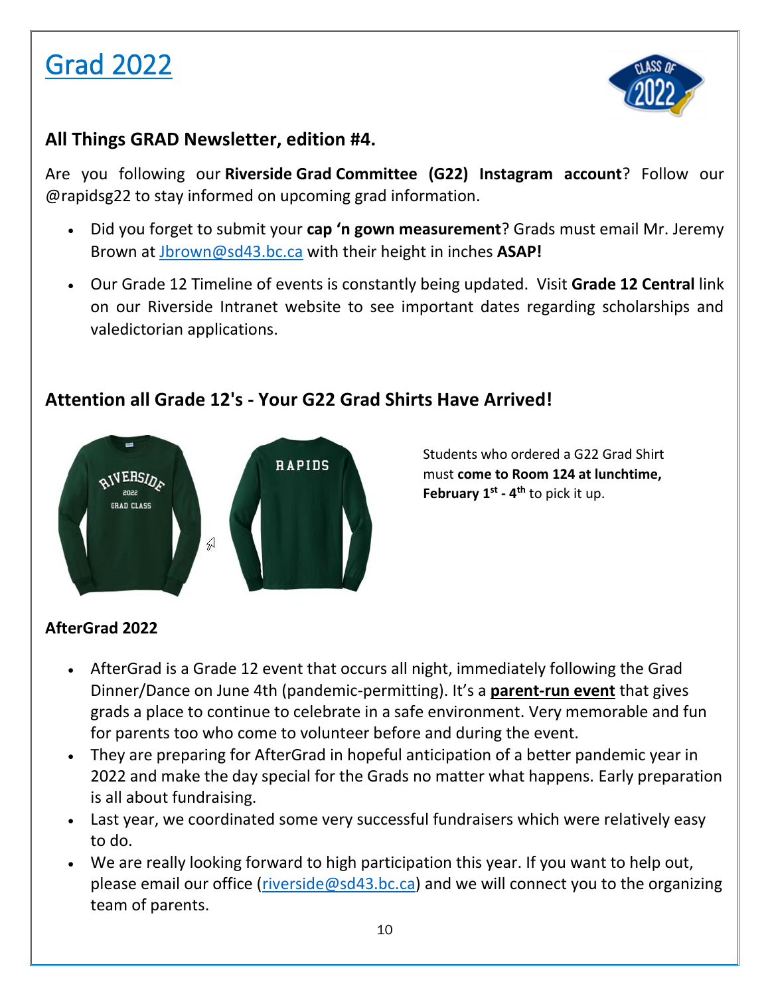



#### **All Things GRAD Newsletter, edition #4.**

Are you following our **Riverside Grad Committee (G22) Instagram account**? Follow our @rapidsg22 to stay informed on upcoming grad information.

- Did you forget to submit your **cap 'n gown measurement**? Grads must email Mr. Jeremy Brown at [Jbrown@sd43.bc.ca](mailto:Jbrown@sd43.bc.ca) with their height in inches **ASAP!**
- Our Grade 12 Timeline of events is constantly being updated. Visit **Grade 12 Central** link on our Riverside Intranet website to see important dates regarding scholarships and valedictorian applications.

### **Attention all Grade 12's - Your G22 Grad Shirts Have Arrived!**



Students who ordered a G22 Grad Shirt must **come to Room 124 at lunchtime, February 1st - 4 th** to pick it up.

### **AfterGrad 2022**

- AfterGrad is a Grade 12 event that occurs all night, immediately following the Grad Dinner/Dance on June 4th (pandemic-permitting). It's a **parent-run event** that gives grads a place to continue to celebrate in a safe environment. Very memorable and fun for parents too who come to volunteer before and during the event.
- They are preparing for AfterGrad in hopeful anticipation of a better pandemic year in 2022 and make the day special for the Grads no matter what happens. Early preparation is all about fundraising.
- Last year, we coordinated some very successful fundraisers which were relatively easy to do.
- We are really looking forward to high participation this year. If you want to help out, please email our office [\(riverside@sd43.bc.ca\)](mailto:riverside@sd43.bc.ca) and we will connect you to the organizing team of parents.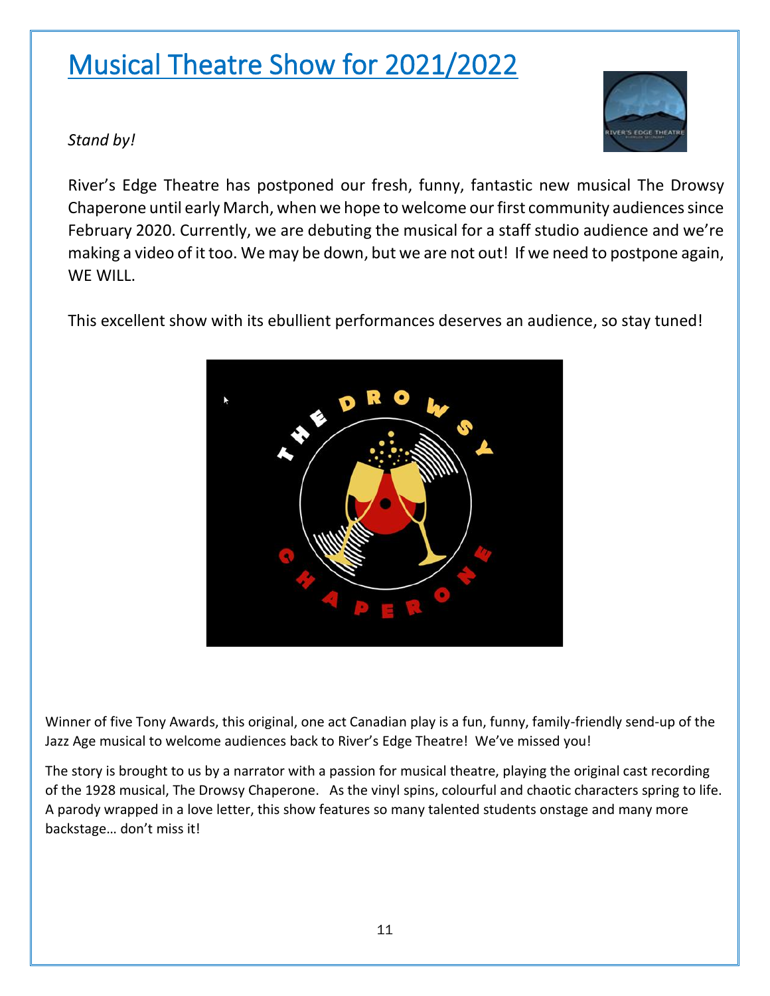## Musical Theatre Show for 2021/2022



*Stand by!*

River's Edge Theatre has postponed our fresh, funny, fantastic new musical The Drowsy Chaperone until early March, when we hope to welcome our first community audiences since February 2020. Currently, we are debuting the musical for a staff studio audience and we're making a video of it too. We may be down, but we are not out! If we need to postpone again, WF WILL.

This excellent show with its ebullient performances deserves an audience, so stay tuned!



Winner of five Tony Awards, this original, one act Canadian play is a fun, funny, family-friendly send-up of the Jazz Age musical to welcome audiences back to River's Edge Theatre! We've missed you!

The story is brought to us by a narrator with a passion for musical theatre, playing the original cast recording of the 1928 musical, The Drowsy Chaperone. As the vinyl spins, colourful and chaotic characters spring to life. A parody wrapped in a love letter, this show features so many talented students onstage and many more backstage… don't miss it!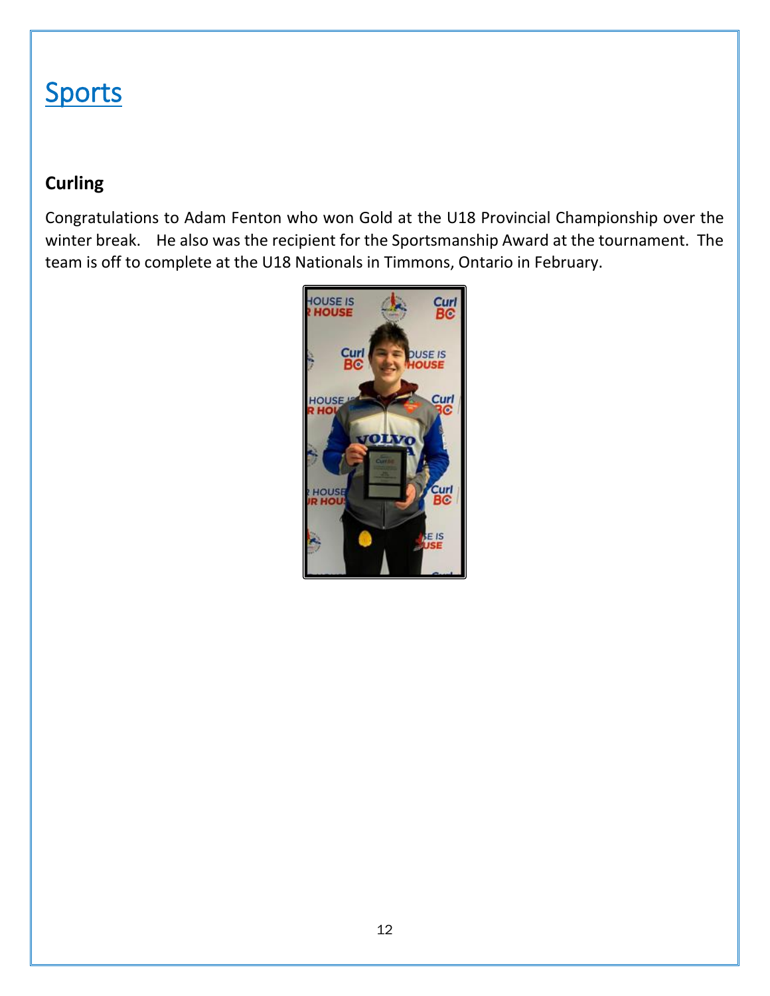### **Sports**

### **Curling**

Congratulations to Adam Fenton who won Gold at the U18 Provincial Championship over the winter break. He also was the recipient for the Sportsmanship Award at the tournament. The team is off to complete at the U18 Nationals in Timmons, Ontario in February.